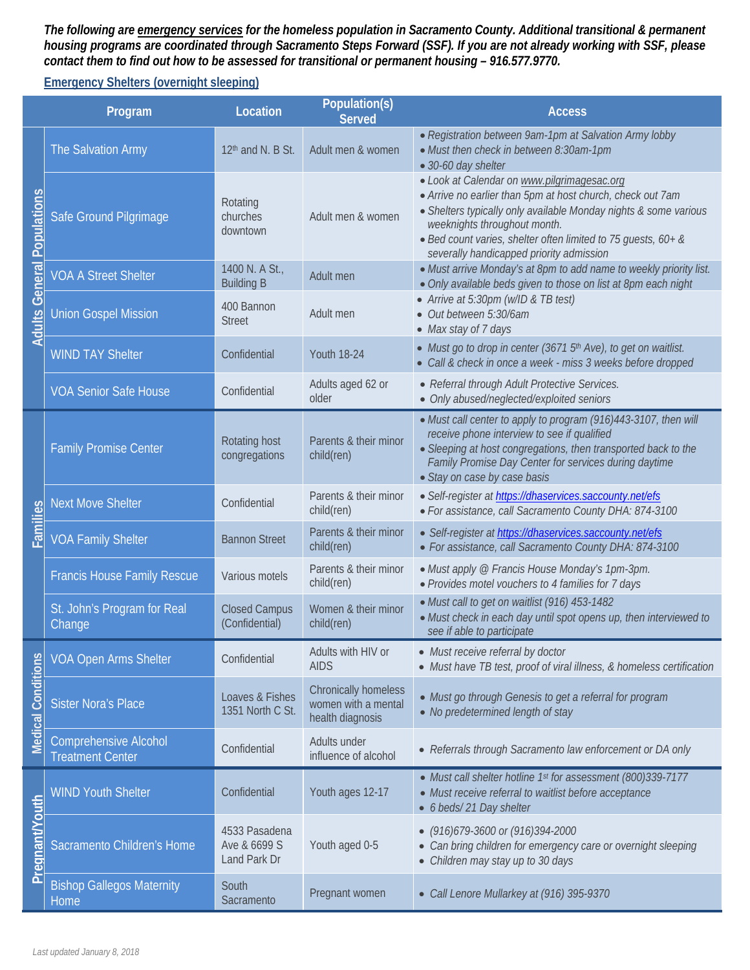*The following are emergency services for the homeless population in Sacramento County. Additional transitional & permanent housing programs are coordinated through Sacramento Steps Forward (SSF). If you are not already working with SSF, please contact them to find out how to be assessed for transitional or permanent housing – 916.577.9770.*

## **Emergency Shelters (overnight sleeping)**

| Program                           |                                                         | Location                                      | Population(s)<br><b>Served</b>                                         | <b>Access</b>                                                                                                                                                                                                                                                                                                              |  |
|-----------------------------------|---------------------------------------------------------|-----------------------------------------------|------------------------------------------------------------------------|----------------------------------------------------------------------------------------------------------------------------------------------------------------------------------------------------------------------------------------------------------------------------------------------------------------------------|--|
| <b>Adults General Populations</b> | The Salvation Army                                      | 12 <sup>th</sup> and N. B St.                 | Adult men & women                                                      | • Registration between 9am-1pm at Salvation Army lobby<br>• Must then check in between 8:30am-1pm<br>• 30-60 day shelter                                                                                                                                                                                                   |  |
|                                   | Safe Ground Pilgrimage                                  | Rotating<br>churches<br>downtown              | Adult men & women                                                      | · Look at Calendar on www.pilgrimagesac.org<br>• Arrive no earlier than 5pm at host church, check out 7am<br>• Shelters typically only available Monday nights & some various<br>weeknights throughout month.<br>• Bed count varies, shelter often limited to 75 guests, 60+ &<br>severally handicapped priority admission |  |
|                                   | <b>VOA A Street Shelter</b>                             | 1400 N. A St.,<br><b>Building B</b>           | Adult men                                                              | • Must arrive Monday's at 8pm to add name to weekly priority list.<br>• Only available beds given to those on list at 8pm each night                                                                                                                                                                                       |  |
|                                   | <b>Union Gospel Mission</b>                             | 400 Bannon<br><b>Street</b>                   | Adult men                                                              | • Arrive at 5:30pm (w/ID & TB test)<br>• Out between 5:30/6am<br>• Max stay of 7 days                                                                                                                                                                                                                                      |  |
|                                   | <b>WIND TAY Shelter</b>                                 | Confidential                                  | <b>Youth 18-24</b>                                                     | • Must go to drop in center (3671 5 <sup>th</sup> Ave), to get on waitlist.<br>• Call & check in once a week - miss 3 weeks before dropped                                                                                                                                                                                 |  |
|                                   | <b>VOA Senior Safe House</b>                            | Confidential                                  | Adults aged 62 or<br>older                                             | • Referral through Adult Protective Services.<br>• Only abused/neglected/exploited seniors                                                                                                                                                                                                                                 |  |
| Families                          | <b>Family Promise Center</b>                            | Rotating host<br>congregations                | Parents & their minor<br>child(ren)                                    | • Must call center to apply to program (916)443-3107, then will<br>receive phone interview to see if qualified<br>• Sleeping at host congregations, then transported back to the<br>Family Promise Day Center for services during daytime<br>· Stay on case by case basis                                                  |  |
|                                   | <b>Next Move Shelter</b>                                | Confidential                                  | Parents & their minor<br>child(ren)                                    | · Self-register at https://dhaservices.saccounty.net/efs<br>· For assistance, call Sacramento County DHA: 874-3100                                                                                                                                                                                                         |  |
|                                   | <b>VOA Family Shelter</b>                               | <b>Bannon Street</b>                          | Parents & their minor<br>child(ren)                                    | · Self-register at https://dhaservices.saccounty.net/efs<br>• For assistance, call Sacramento County DHA: 874-3100                                                                                                                                                                                                         |  |
|                                   | <b>Francis House Family Rescue</b>                      | Various motels                                | Parents & their minor<br>child(ren)                                    | • Must apply @ Francis House Monday's 1pm-3pm.<br>• Provides motel vouchers to 4 families for 7 days                                                                                                                                                                                                                       |  |
|                                   | St. John's Program for Real<br>Change                   | <b>Closed Campus</b><br>(Confidential)        | Women & their minor<br>child(ren)                                      | • Must call to get on waitlist (916) 453-1482<br>• Must check in each day until spot opens up, then interviewed to<br>see if able to participate                                                                                                                                                                           |  |
| <b>Medical Conditions</b>         | <b>VOA Open Arms Shelter</b>                            | Confidential                                  | Adults with HIV or<br><b>AIDS</b>                                      | • Must receive referral by doctor<br>• Must have TB test, proof of viral illness, & homeless certification                                                                                                                                                                                                                 |  |
|                                   | <b>Sister Nora's Place</b>                              | Loaves & Fishes<br>1351 North C St.           | <b>Chronically homeless</b><br>women with a mental<br>health diagnosis | • Must go through Genesis to get a referral for program<br>• No predetermined length of stay                                                                                                                                                                                                                               |  |
|                                   | <b>Comprehensive Alcohol</b><br><b>Treatment Center</b> | Confidential                                  | Adults under<br>influence of alcohol                                   | • Referrals through Sacramento law enforcement or DA only                                                                                                                                                                                                                                                                  |  |
| Pregnant/Youth                    | <b>WIND Youth Shelter</b>                               | Confidential                                  | Youth ages 12-17                                                       | • Must call shelter hotline 1st for assessment (800)339-7177<br>• Must receive referral to waitlist before acceptance<br>• 6 beds/ 21 Day shelter                                                                                                                                                                          |  |
|                                   | Sacramento Children's Home                              | 4533 Pasadena<br>Ave & 6699 S<br>Land Park Dr | Youth aged 0-5                                                         | $(916)679-3600$ or $(916)394-2000$<br>• Can bring children for emergency care or overnight sleeping<br>• Children may stay up to 30 days                                                                                                                                                                                   |  |
|                                   | <b>Bishop Gallegos Maternity</b><br>Home                | South<br>Sacramento                           | Pregnant women                                                         | • Call Lenore Mullarkey at (916) 395-9370                                                                                                                                                                                                                                                                                  |  |